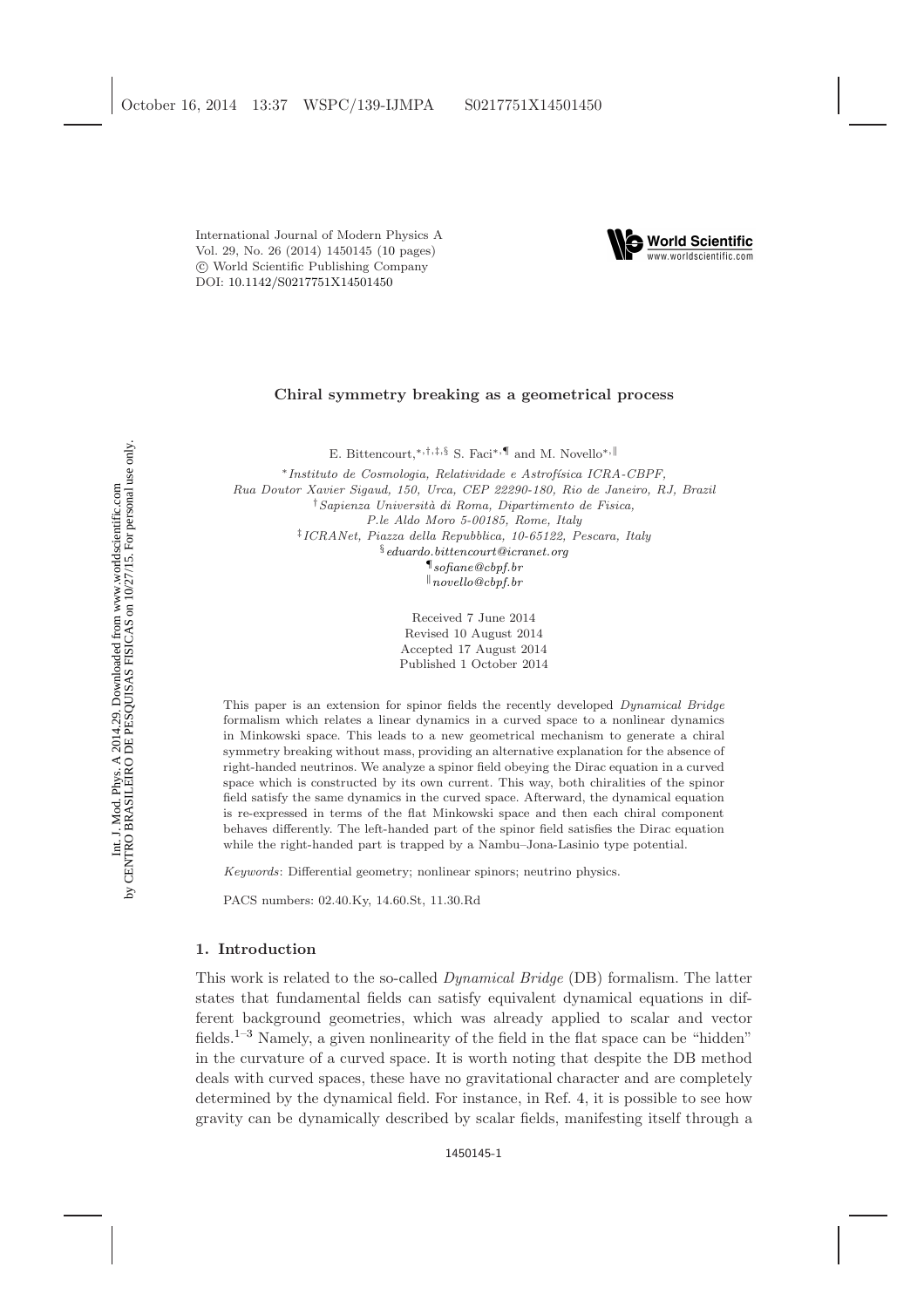International Journal of Modern Physics A Vol. 29, No. 26 (2014) 1450145 [\(10](#page-8-0) pages) c World Scientific Publishing Company DOI: [10.1142/S0217751X14501450](http://dx.doi.org/10.1142/S0217751X14501450)



## Chiral symmetry breaking as a geometrical process

E. Bittencourt,\*<sup>,†,‡,§</sup> S. Faci<sup>\*,¶</sup> and M. Novello<sup>\*,∥</sup>

<sup>∗</sup>Instituto de Cosmologia, Relatividade e Astrof´ısica ICRA-CBPF, Rua Doutor Xavier Sigaud, 150, Urca, CEP 22290-180, Rio de Janeiro, RJ, Brazil †Sapienza Universit`a di Roma, Dipartimento de Fisica, P.le Aldo Moro 5-00185, Rome, Italy ‡ ICRANet, Piazza della Repubblica, 10-65122, Pescara, Italy  $\S$ [eduardo.bittencourt@icranet.org](mailto:eduardo.bittencourt@icranet.org) ¶[sofiane@cbpf.br](mailto:sofiane@cbpf.br)  $\parallel$ [novello@cbpf.br](mailto:novello@cbpf.br)

> Received 7 June 2014 Revised 10 August 2014 Accepted 17 August 2014 Published 1 October 2014

This paper is an extension for spinor fields the recently developed Dynamical Bridge formalism which relates a linear dynamics in a curved space to a nonlinear dynamics in Minkowski space. This leads to a new geometrical mechanism to generate a chiral symmetry breaking without mass, providing an alternative explanation for the absence of right-handed neutrinos. We analyze a spinor field obeying the Dirac equation in a curved space which is constructed by its own current. This way, both chiralities of the spinor field satisfy the same dynamics in the curved space. Afterward, the dynamical equation is re-expressed in terms of the flat Minkowski space and then each chiral component behaves differently. The left-handed part of the spinor field satisfies the Dirac equation while the right-handed part is trapped by a Nambu–Jona-Lasinio type potential.

Keywords: Differential geometry; nonlinear spinors; neutrino physics.

PACS numbers: 02.40.Ky, 14.60.St, 11.30.Rd

## 1. Introduction

This work is related to the so-called Dynamical Bridge (DB) formalism. The latter states that fundamental fields can satisfy equivalent dynamical equations in different background geometries, which was already applied to scalar and vector fields.[1](#page-8-1)[–3](#page-9-0) Namely, a given nonlinearity of the field in the flat space can be "hidden" in the curvature of a curved space. It is worth noting that despite the DB method deals with curved spaces, these have no gravitational character and are completely determined by the dynamical field. For instance, in Ref. [4,](#page-9-1) it is possible to see how gravity can be dynamically described by scalar fields, manifesting itself through a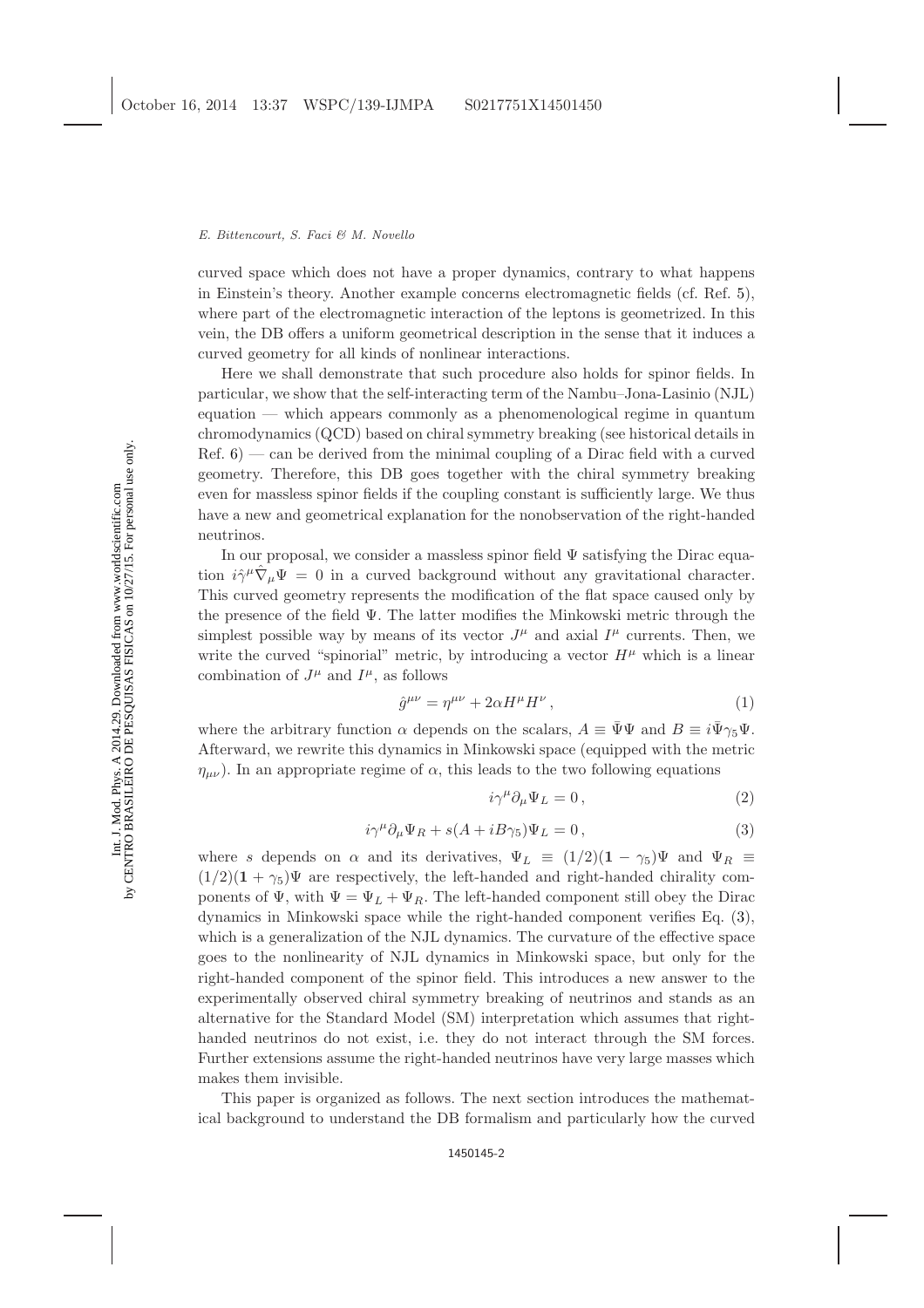curved space which does not have a proper dynamics, contrary to what happens in Einstein's theory. Another example concerns electromagnetic fields (cf. Ref. [5\)](#page-9-2), where part of the electromagnetic interaction of the leptons is geometrized. In this vein, the DB offers a uniform geometrical description in the sense that it induces a curved geometry for all kinds of nonlinear interactions.

Here we shall demonstrate that such procedure also holds for spinor fields. In particular, we show that the self-interacting term of the Nambu–Jona-Lasinio (NJL) equation — which appears commonly as a phenomenological regime in quantum chromodynamics (QCD) based on chiral symmetry breaking (see historical details in  $Ref. 6$ ) — can be derived from the minimal coupling of a Dirac field with a curved geometry. Therefore, this DB goes together with the chiral symmetry breaking even for massless spinor fields if the coupling constant is sufficiently large. We thus have a new and geometrical explanation for the nonobservation of the right-handed neutrinos.

In our proposal, we consider a massless spinor field  $\Psi$  satisfying the Dirac equation  $i\hat{\gamma}^{\mu}\hat{\nabla}_{\mu}\Psi = 0$  in a curved background without any gravitational character. This curved geometry represents the modification of the flat space caused only by the presence of the field Ψ. The latter modifies the Minkowski metric through the simplest possible way by means of its vector  $J^{\mu}$  and axial  $I^{\mu}$  currents. Then, we write the curved "spinorial" metric, by introducing a vector  $H^{\mu}$  which is a linear combination of  $J^{\mu}$  and  $I^{\mu}$ , as follows

<span id="page-1-1"></span>
$$
\hat{g}^{\mu\nu} = \eta^{\mu\nu} + 2\alpha H^{\mu} H^{\nu} \,, \tag{1}
$$

where the arbitrary function  $\alpha$  depends on the scalars,  $A \equiv \Psi \Psi$  and  $B \equiv i\Psi \gamma_5 \Psi$ . Afterward, we rewrite this dynamics in Minkowski space (equipped with the metric  $\eta_{\mu\nu}$ ). In an appropriate regime of  $\alpha$ , this leads to the two following equations

<span id="page-1-0"></span>
$$
i\gamma^{\mu}\partial_{\mu}\Psi_{L}=0\,,\tag{2}
$$

$$
i\gamma^{\mu}\partial_{\mu}\Psi_{R} + s(A + iB\gamma_{5})\Psi_{L} = 0, \qquad (3)
$$

where s depends on  $\alpha$  and its derivatives,  $\Psi_L \equiv (1/2)(1 - \gamma_5)\Psi$  and  $\Psi_R \equiv$  $(1/2)(1 + \gamma_5)\Psi$  are respectively, the left-handed and right-handed chirality components of  $\Psi$ , with  $\Psi = \Psi_L + \Psi_R$ . The left-handed component still obey the Dirac dynamics in Minkowski space while the right-handed component verifies Eq. [\(3\)](#page-1-0), which is a generalization of the NJL dynamics. The curvature of the effective space goes to the nonlinearity of NJL dynamics in Minkowski space, but only for the right-handed component of the spinor field. This introduces a new answer to the experimentally observed chiral symmetry breaking of neutrinos and stands as an alternative for the Standard Model (SM) interpretation which assumes that righthanded neutrinos do not exist, i.e. they do not interact through the SM forces. Further extensions assume the right-handed neutrinos have very large masses which makes them invisible.

This paper is organized as follows. The next section introduces the mathematical background to understand the DB formalism and particularly how the curved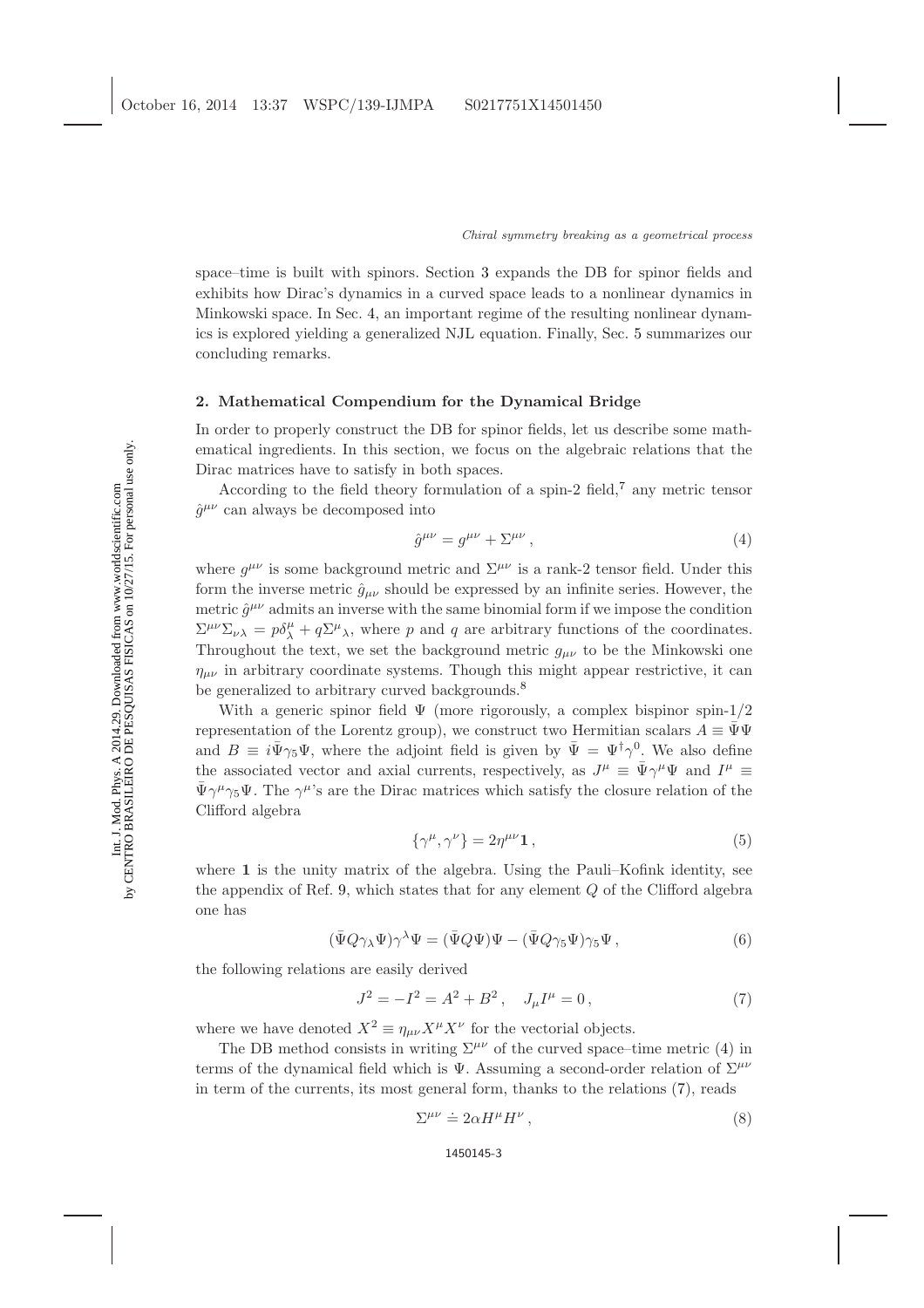space–time is built with spinors. Section [3](#page-4-0) expands the DB for spinor fields and exhibits how Dirac's dynamics in a curved space leads to a nonlinear dynamics in Minkowski space. In Sec. [4,](#page-6-0) an important regime of the resulting nonlinear dynamics is explored yielding a generalized NJL equation. Finally, Sec. [5](#page-7-0) summarizes our concluding remarks.

# 2. Mathematical Compendium for the Dynamical Bridge

In order to properly construct the DB for spinor fields, let us describe some mathematical ingredients. In this section, we focus on the algebraic relations that the Dirac matrices have to satisfy in both spaces.

According to the field theory formulation of a spin-2 field,<sup>[7](#page-9-4)</sup> any metric tensor  $\hat{g}^{\mu\nu}$  can always be decomposed into

<span id="page-2-0"></span>
$$
\hat{g}^{\mu\nu} = g^{\mu\nu} + \Sigma^{\mu\nu},\tag{4}
$$

where  $g^{\mu\nu}$  is some background metric and  $\Sigma^{\mu\nu}$  is a rank-2 tensor field. Under this form the inverse metric  $\hat{g}_{\mu\nu}$  should be expressed by an infinite series. However, the metric  $\hat{g}^{\mu\nu}$  admits an inverse with the same binomial form if we impose the condition  $\Sigma^{\mu\nu}\Sigma_{\nu\lambda} = p\delta^{\mu}_{\lambda} + q\Sigma^{\mu}_{\lambda}$ , where p and q are arbitrary functions of the coordinates. Throughout the text, we set the background metric  $g_{\mu\nu}$  to be the Minkowski one  $\eta_{\mu\nu}$  in arbitrary coordinate systems. Though this might appear restrictive, it can be generalized to arbitrary curved backgrounds.<sup>[8](#page-9-5)</sup>

With a generic spinor field  $\Psi$  (more rigorously, a complex bispinor spin-1/2) representation of the Lorentz group), we construct two Hermitian scalars  $A \equiv \bar{\Psi}\Psi$ and  $B \equiv i\bar{\Psi}\gamma_5\Psi$ , where the adjoint field is given by  $\bar{\Psi} = \Psi^{\dagger}\gamma^0$ . We also define the associated vector and axial currents, respectively, as  $J^{\mu} \equiv \bar{\Psi} \gamma^{\mu} \Psi$  and  $I^{\mu} \equiv$  $\bar{\Psi}\gamma^{\mu}\gamma_{5}\Psi$ . The  $\gamma^{\mu}$ 's are the Dirac matrices which satisfy the closure relation of the Clifford algebra

<span id="page-2-3"></span>
$$
\{\gamma^{\mu}, \gamma^{\nu}\} = 2\eta^{\mu\nu}\mathbf{1},\tag{5}
$$

<span id="page-2-2"></span>where 1 is the unity matrix of the algebra. Using the Pauli–Kofink identity, see the appendix of Ref. [9,](#page-9-6) which states that for any element Q of the Clifford algebra one has

$$
(\bar{\Psi}Q\gamma_{\lambda}\Psi)\gamma^{\lambda}\Psi = (\bar{\Psi}Q\Psi)\Psi - (\bar{\Psi}Q\gamma_{5}\Psi)\gamma_{5}\Psi , \qquad (6)
$$

the following relations are easily derived

<span id="page-2-1"></span>
$$
J^2 = -I^2 = A^2 + B^2, \quad J_\mu I^\mu = 0,\tag{7}
$$

where we have denoted  $X^2 \equiv \eta_{\mu\nu} X^{\mu} X^{\nu}$  for the vectorial objects.

The DB method consists in writing  $\Sigma^{\mu\nu}$  of the curved space–time metric [\(4\)](#page-2-0) in terms of the dynamical field which is  $\Psi$ . Assuming a second-order relation of  $\Sigma^{\mu\nu}$ in term of the currents, its most general form, thanks to the relations [\(7\)](#page-2-1), reads

$$
\Sigma^{\mu\nu} \doteq 2\alpha H^{\mu}H^{\nu}\,,\tag{8}
$$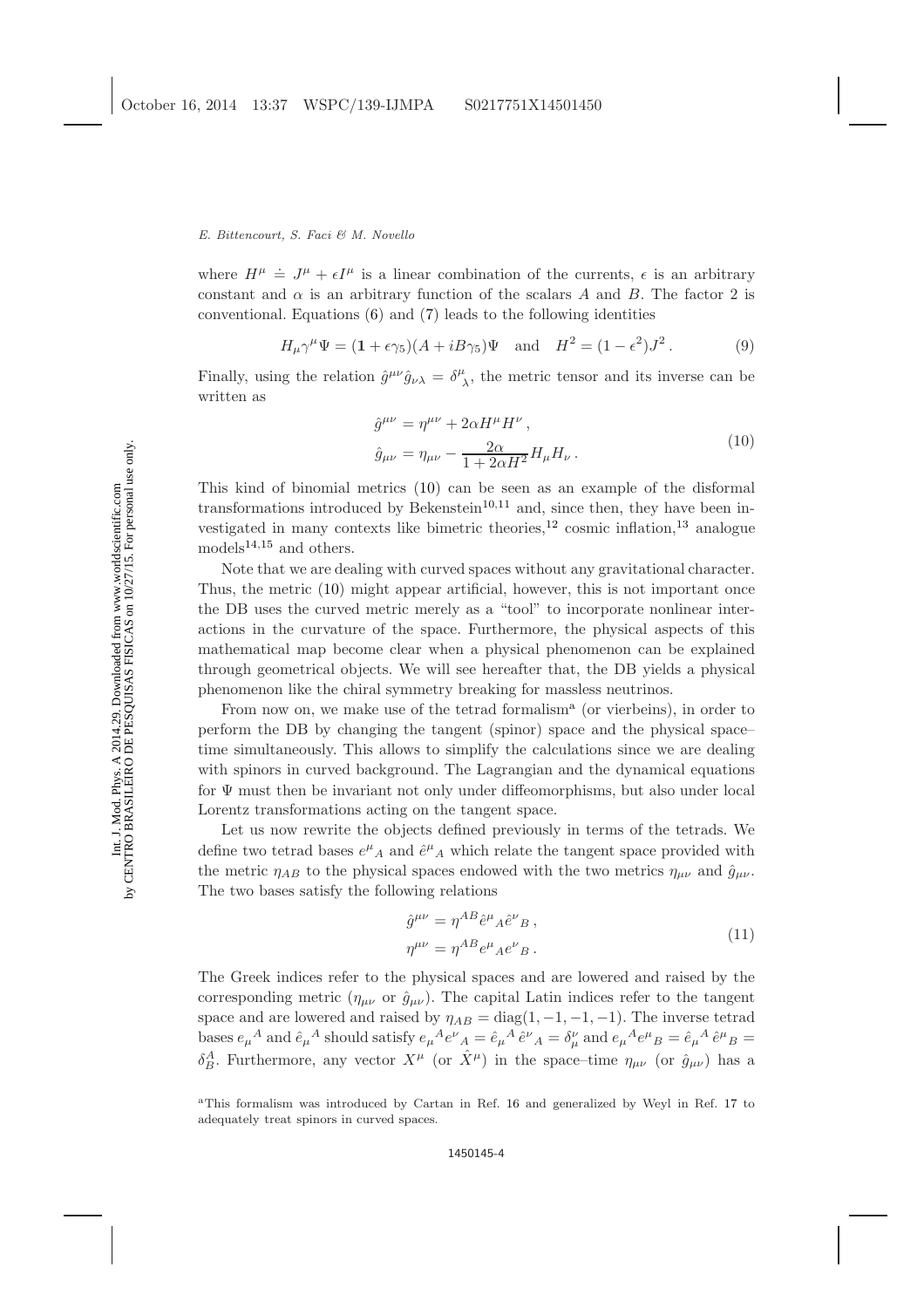## E. Bittencourt, S. Faci & M. Novello

where  $H^{\mu} \doteq J^{\mu} + \epsilon I^{\mu}$  is a linear combination of the currents,  $\epsilon$  is an arbitrary constant and  $\alpha$  is an arbitrary function of the scalars A and B. The factor 2 is conventional. Equations [\(6\)](#page-2-2) and [\(7\)](#page-2-1) leads to the following identities

<span id="page-3-0"></span>
$$
H_{\mu}\gamma^{\mu}\Psi = (1 + \epsilon\gamma_5)(A + iB\gamma_5)\Psi \quad \text{and} \quad H^2 = (1 - \epsilon^2)J^2. \tag{9}
$$

Finally, using the relation  $\hat{g}^{\mu\nu}\hat{g}_{\nu\lambda} = \delta^{\mu}_{\ \lambda}$ , the metric tensor and its inverse can be written as

<span id="page-3-3"></span>
$$
\hat{g}^{\mu\nu} = \eta^{\mu\nu} + 2\alpha H^{\mu} H^{\nu},
$$
  

$$
\hat{g}_{\mu\nu} = \eta_{\mu\nu} - \frac{2\alpha}{1 + 2\alpha H^2} H_{\mu} H_{\nu}.
$$
 (10)

This kind of binomial metrics [\(10\)](#page-3-0) can be seen as an example of the disformal transformations introduced by Bekenstein<sup>[10,](#page-9-7)[11](#page-9-8)</sup> and, since then, they have been investigated in many contexts like bimetric theories,  $^{12}$  $^{12}$  $^{12}$  cosmic inflation,  $^{13}$  $^{13}$  $^{13}$  analogue models $^{14,15}$  $^{14,15}$  $^{14,15}$  $^{14,15}$  and others.

Note that we are dealing with curved spaces without any gravitational character. Thus, the metric [\(10\)](#page-3-0) might appear artificial, however, this is not important once the DB uses the curved metric merely as a "tool" to incorporate nonlinear interactions in the curvature of the space. Furthermore, the physical aspects of this mathematical map become clear when a physical phenomenon can be explained through geometrical objects. We will see hereafter that, the DB yields a physical phenomenon like the chiral symmetry breaking for massless neutrinos.

From now on, we m[a](#page-3-1)ke use of the tetrad formalism<sup>a</sup> (or vierbeins), in order to perform the DB by changing the tangent (spinor) space and the physical space– time simultaneously. This allows to simplify the calculations since we are dealing with spinors in curved background. The Lagrangian and the dynamical equations for Ψ must then be invariant not only under diffeomorphisms, but also under local Lorentz transformations acting on the tangent space.

Let us now rewrite the objects defined previously in terms of the tetrads. We define two tetrad bases  $e^{\mu}{}_{A}$  and  $\hat{e}^{\mu}{}_{A}$  which relate the tangent space provided with the metric  $\eta_{AB}$  to the physical spaces endowed with the two metrics  $\eta_{\mu\nu}$  and  $\hat{g}_{\mu\nu}$ . The two bases satisfy the following relations

<span id="page-3-2"></span>
$$
\hat{g}^{\mu\nu} = \eta^{AB} \hat{e}^{\mu}{}_{A} \hat{e}^{\nu}{}_{B} ,
$$
  
\n
$$
\eta^{\mu\nu} = \eta^{AB} e^{\mu}{}_{A} e^{\nu}{}_{B} .
$$
\n(11)

The Greek indices refer to the physical spaces and are lowered and raised by the corresponding metric  $(\eta_{\mu\nu}$  or  $\hat{g}_{\mu\nu})$ . The capital Latin indices refer to the tangent space and are lowered and raised by  $\eta_{AB} = \text{diag}(1, -1, -1, -1)$ . The inverse tetrad bases  $e_\mu{}^A$  and  $\hat{e}_\mu{}^A$  should satisfy  $e_\mu{}^A e^\nu{}_A = \hat{e}_\mu{}^A \hat{e}^\nu{}_A = \delta_\mu^\nu$  and  $e_\mu{}^A e^\mu{}_B = \hat{e}_\mu{}^A \hat{e}^\mu{}_B = \delta_\mu$  $\delta_B^A$ . Furthermore, any vector  $X^{\mu}$  (or  $\hat{X}^{\mu}$ ) in the space–time  $\eta_{\mu\nu}$  (or  $\hat{g}_{\mu\nu}$ ) has a

<span id="page-3-1"></span><sup>a</sup>This formalism was introduced by Cartan in Ref. [16](#page-9-13) and generalized by Weyl in Ref. [17](#page-9-14) to adequately treat spinors in curved spaces.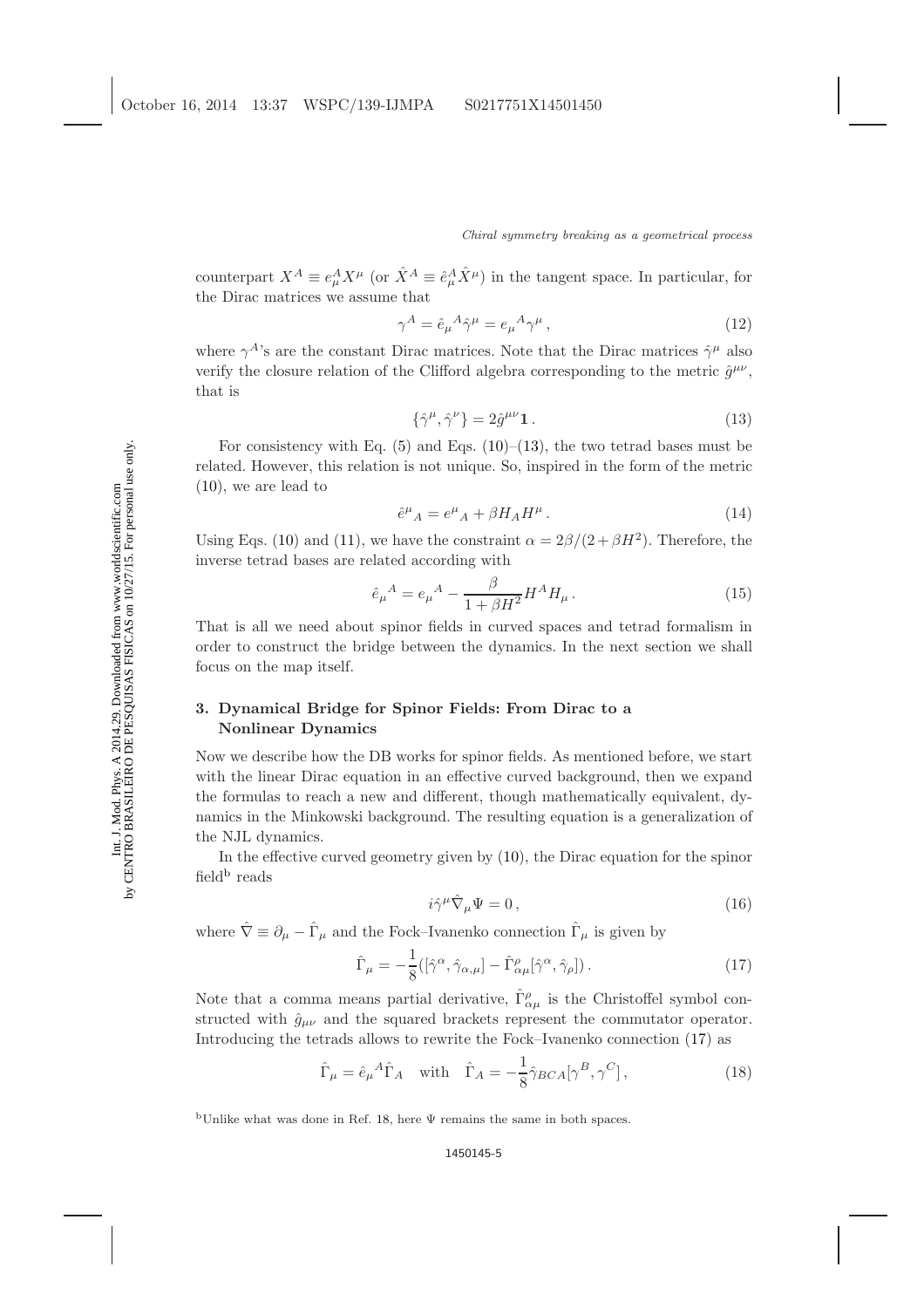counterpart  $X^A \equiv e^A_\mu X^\mu$  (or  $\hat{X}^A \equiv \hat{e}^A_\mu \hat{X}^\mu$ ) in the tangent space. In particular, for the Dirac matrices we assume that

$$
\gamma^A = \hat{e}_{\mu}{}^A \hat{\gamma}^{\mu} = e_{\mu}{}^A \gamma^{\mu} \,, \tag{12}
$$

<span id="page-4-1"></span>where  $\gamma^{A}$ 's are the constant Dirac matrices. Note that the Dirac matrices  $\hat{\gamma}^{\mu}$  also verify the closure relation of the Clifford algebra corresponding to the metric  $\hat{g}^{\mu\nu}$ , that is

$$
\{\hat{\gamma}^{\mu}, \hat{\gamma}^{\nu}\} = 2\hat{g}^{\mu\nu}\mathbf{1} \,. \tag{13}
$$

For consistency with Eq.  $(5)$  and Eqs.  $(10)$ – $(13)$ , the two tetrad bases must be related. However, this relation is not unique. So, inspired in the form of the metric [\(10\)](#page-3-0), we are lead to

<span id="page-4-4"></span>
$$
\hat{e}^{\mu}{}_{A} = e^{\mu}{}_{A} + \beta H_{A} H^{\mu} \,. \tag{14}
$$

Using Eqs. [\(10\)](#page-3-0) and [\(11\)](#page-3-2), we have the constraint  $\alpha = 2\beta/(2+\beta H^2)$ . Therefore, the inverse tetrad bases are related according with

$$
\hat{e}_{\mu}{}^{A} = e_{\mu}{}^{A} - \frac{\beta}{1 + \beta H^{2}} H^{A} H_{\mu}.
$$
\n(15)

That is all we need about spinor fields in curved spaces and tetrad formalism in order to construct the bridge between the dynamics. In the next section we shall focus on the map itself.

# <span id="page-4-0"></span>3. Dynamical Bridge for Spinor Fields: From Dirac to a Nonlinear Dynamics

Now we describe how the DB works for spinor fields. As mentioned before, we start with the linear Dirac equation in an effective curved background, then we expand the formulas to reach a new and different, though mathematically equivalent, dynamics in the Minkowski background. The resulting equation is a generalization of the NJL dynamics.

<span id="page-4-5"></span>In the effective curved geometry given by [\(10\)](#page-3-0), the Dirac equation for the spinor field<sup>[b](#page-4-2)</sup> reads

<span id="page-4-3"></span>
$$
i\hat{\gamma}^{\mu}\hat{\nabla}_{\mu}\Psi = 0\,,\tag{16}
$$

where  $\hat{\nabla} \equiv \partial_{\mu} - \hat{\Gamma}_{\mu}$  and the Fock–Ivanenko connection  $\hat{\Gamma}_{\mu}$  is given by

$$
\hat{\Gamma}_{\mu} = -\frac{1}{8} \left( [\hat{\gamma}^{\alpha}, \hat{\gamma}_{\alpha,\mu}] - \hat{\Gamma}^{\rho}_{\alpha\mu} [\hat{\gamma}^{\alpha}, \hat{\gamma}_{\rho}] \right). \tag{17}
$$

Note that a comma means partial derivative,  $\hat{\Gamma}^{\rho}_{\alpha\mu}$  is the Christoffel symbol constructed with  $\hat{g}_{\mu\nu}$  and the squared brackets represent the commutator operator. Introducing the tetrads allows to rewrite the Fock–Ivanenko connection [\(17\)](#page-4-3) as

$$
\hat{\Gamma}_{\mu} = \hat{e}_{\mu}{}^{A}\hat{\Gamma}_{A} \quad \text{with} \quad \hat{\Gamma}_{A} = -\frac{1}{8}\hat{\gamma}_{BCA}[\gamma^{B}, \gamma^{C}], \tag{18}
$$

<span id="page-4-2"></span>bUnlike what was done in Ref. [18,](#page-9-15) here  $\Psi$  remains the same in both spaces.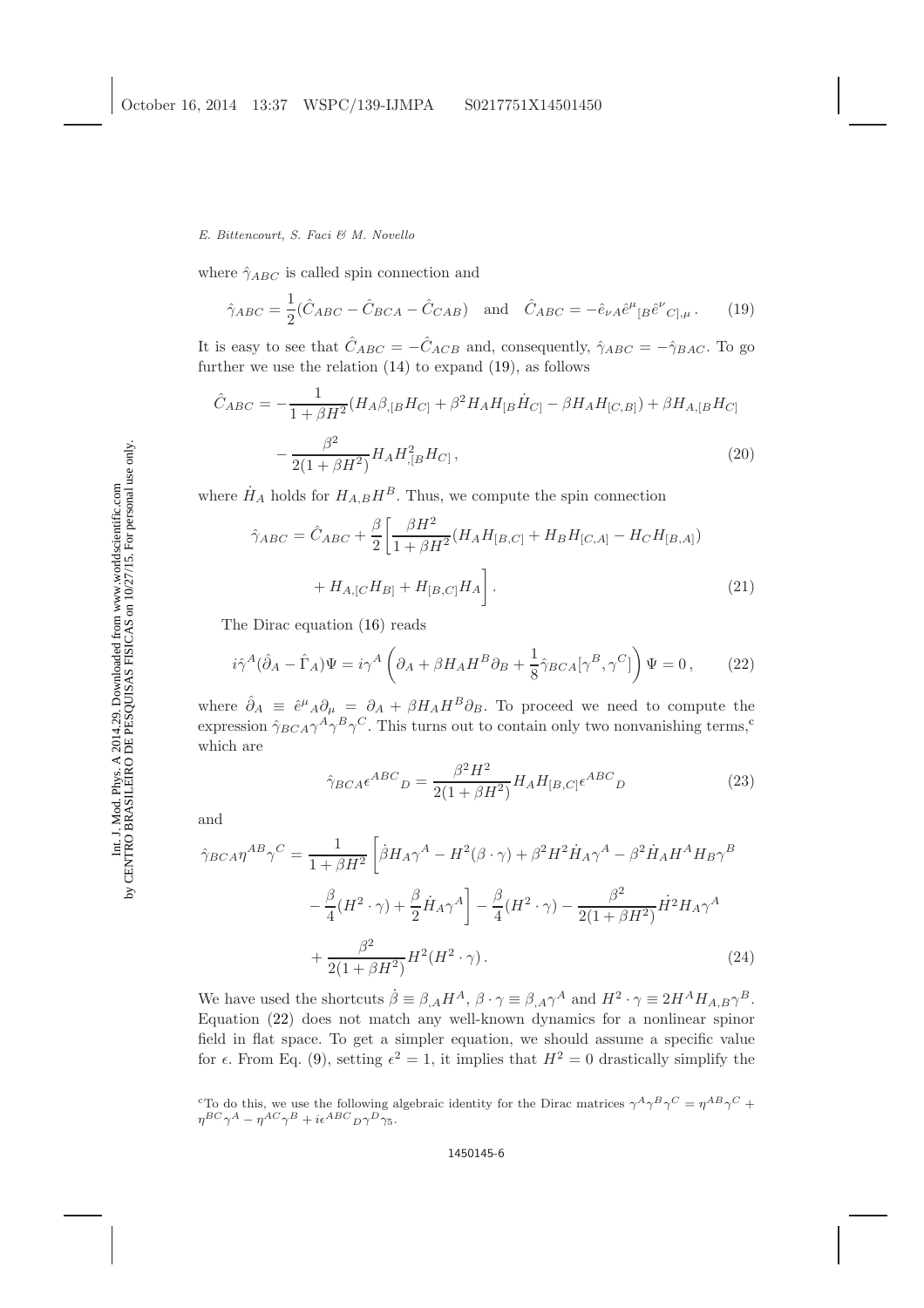## E. Bittencourt, S. Faci & M. Novello

where  $\hat{\gamma}_{ABC}$  is called spin connection and

<span id="page-5-0"></span>
$$
\hat{\gamma}_{ABC} = \frac{1}{2}(\hat{C}_{ABC} - \hat{C}_{BCA} - \hat{C}_{CAB}) \quad \text{and} \quad \hat{C}_{ABC} = -\hat{e}_{\nu A}\hat{e}^{\mu}{}_{[B}\hat{e}^{\nu}{}_{C],\mu} \,. \tag{19}
$$

It is easy to see that  $\hat{C}_{ABC} = -\hat{C}_{ACB}$  and, consequently,  $\hat{\gamma}_{ABC} = -\hat{\gamma}_{BAC}$ . To go further we use the relation  $(14)$  to expand  $(19)$ , as follows

$$
\hat{C}_{ABC} = -\frac{1}{1 + \beta H^2} (H_A \beta_{,[B} H_{C]} + \beta^2 H_A H_{[B} \dot{H}_{C]} - \beta H_A H_{[C,B]}) + \beta H_{A,[B} H_{C]}
$$

$$
-\frac{\beta^2}{2(1 + \beta H^2)} H_A H_{,[B}^2 H_{C]},
$$
(20)

where  $\dot{H}_A$  holds for  $H_{A,B}H^B$ . Thus, we compute the spin connection

$$
\hat{\gamma}_{ABC} = \hat{C}_{ABC} + \frac{\beta}{2} \left[ \frac{\beta H^2}{1 + \beta H^2} (H_A H_{[B,C]} + H_B H_{[C,A]} - H_C H_{[B,A]}) + H_{A,[C} H_{B]} + H_{[B,C]} H_A \right].
$$
\n(21)

The Dirac equation [\(16\)](#page-4-5) reads

$$
i\hat{\gamma}^A(\hat{\partial}_A - \hat{\Gamma}_A)\Psi = i\gamma^A \left(\partial_A + \beta H_A H^B \partial_B + \frac{1}{8}\hat{\gamma}_{BCA}[\gamma^B, \gamma^C]\right)\Psi = 0\,,\qquad(22)
$$

where  $\hat{\partial}_A \equiv \hat{e}^{\mu}{}_{A} \partial_{\mu} = \partial_A + \beta H_A H^B \partial_B$ . To proceed we need to compute the expression  $\hat{\gamma}_{BCA}\gamma^A\gamma^B\gamma^C$ . This turns out to [c](#page-5-1)ontain only two nonvanishing terms,<sup>c</sup> which are

<span id="page-5-3"></span><span id="page-5-2"></span>
$$
\hat{\gamma}_{BCA}\epsilon^{ABC}{}_{D} = \frac{\beta^2 H^2}{2(1+\beta H^2)} H_A H_{[B,C]}\epsilon^{ABC}{}_{D}
$$
\n(23)

and

<span id="page-5-4"></span>
$$
\hat{\gamma}_{BCA}\eta^{AB}\gamma^{C} = \frac{1}{1+\beta H^{2}}\left[\dot{\beta}H_{A}\gamma^{A} - H^{2}(\beta\cdot\gamma) + \beta^{2}H^{2}\dot{H}_{A}\gamma^{A} - \beta^{2}\dot{H}_{A}H^{A}H_{B}\gamma^{B}\right]
$$

$$
-\frac{\beta}{4}(H^{2}\cdot\gamma) + \frac{\beta}{2}\dot{H}_{A}\gamma^{A}\right] - \frac{\beta}{4}(H^{2}\cdot\gamma) - \frac{\beta^{2}}{2(1+\beta H^{2})}\dot{H}^{2}H_{A}\gamma^{A}
$$

$$
+\frac{\beta^{2}}{2(1+\beta H^{2})}H^{2}(H^{2}\cdot\gamma). \tag{24}
$$

We have used the shortcuts  $\dot{\beta} \equiv \beta_{,A} H^A$ ,  $\beta \cdot \gamma \equiv \beta_{,A} \gamma^A$  and  $H^2 \cdot \gamma \equiv 2H^A H_{A,B} \gamma^B$ . Equation [\(22\)](#page-5-2) does not match any well-known dynamics for a nonlinear spinor field in flat space. To get a simpler equation, we should assume a specific value for  $\epsilon$ . From Eq. [\(9\)](#page-3-3), setting  $\epsilon^2 = 1$ , it implies that  $H^2 = 0$  drastically simplify the

<span id="page-5-1"></span><sup>&</sup>lt;sup>c</sup>To do this, we use the following algebraic identity for the Dirac matrices  $\gamma^A \gamma^B \gamma^C = \eta^{AB} \gamma^C +$  $\eta^{BC} \gamma^A - \eta^{AC} \gamma^B + i \epsilon^{ABC} D \gamma^D \gamma_5.$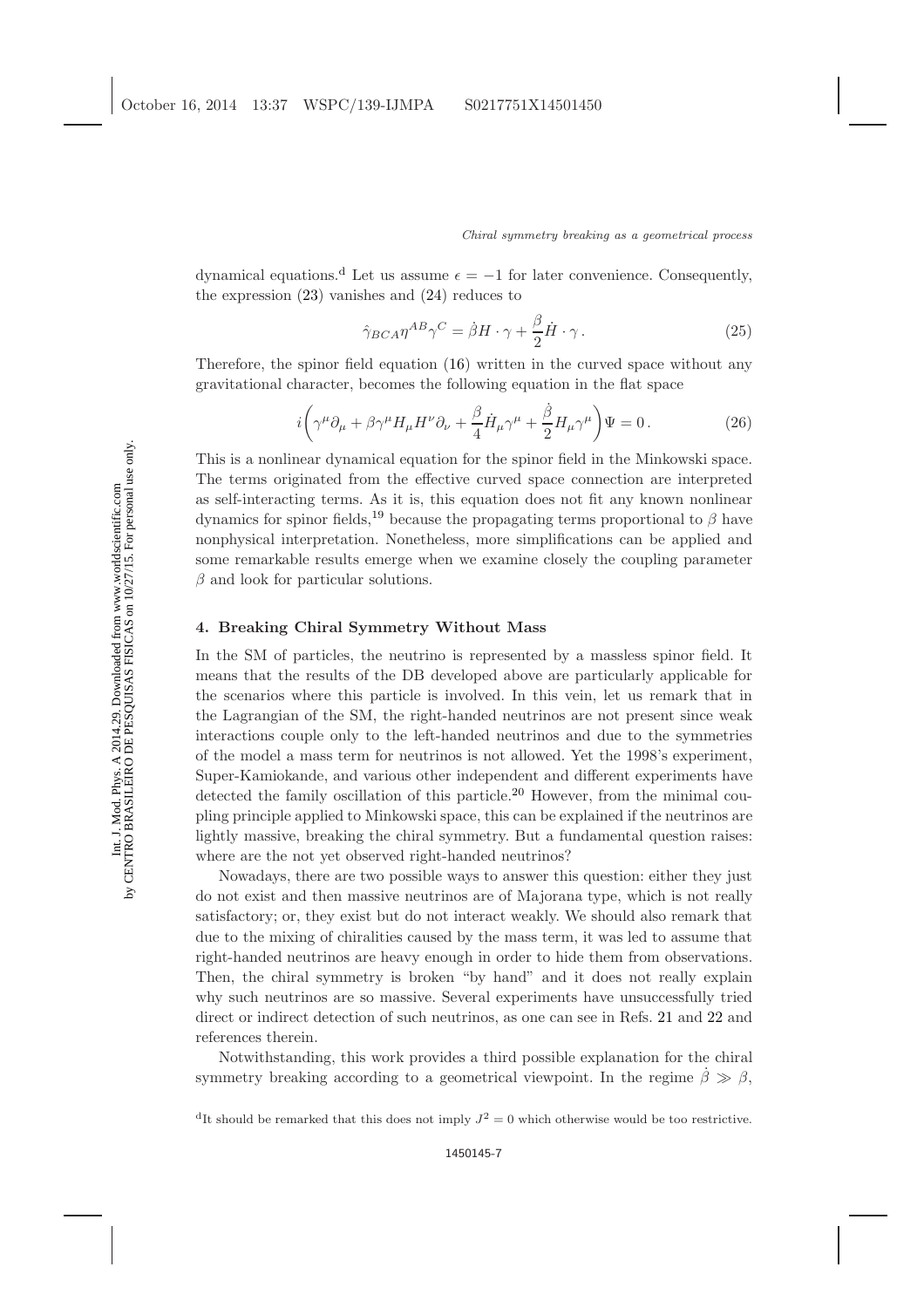[d](#page-6-1)ynamical equations.<sup>d</sup> Let us assume  $\epsilon = -1$  for later convenience. Consequently, the expression [\(23\)](#page-5-3) vanishes and [\(24\)](#page-5-4) reduces to

<span id="page-6-2"></span>
$$
\hat{\gamma}_{BCA}\eta^{AB}\gamma^C = \dot{\beta}H \cdot \gamma + \frac{\beta}{2}\dot{H} \cdot \gamma.
$$
 (25)

Therefore, the spinor field equation [\(16\)](#page-4-5) written in the curved space without any gravitational character, becomes the following equation in the flat space

$$
i\left(\gamma^{\mu}\partial_{\mu} + \beta\gamma^{\mu}H_{\mu}H^{\nu}\partial_{\nu} + \frac{\beta}{4}\dot{H}_{\mu}\gamma^{\mu} + \frac{\dot{\beta}}{2}H_{\mu}\gamma^{\mu}\right)\Psi = 0.
$$
 (26)

This is a nonlinear dynamical equation for the spinor field in the Minkowski space. The terms originated from the effective curved space connection are interpreted as self-interacting terms. As it is, this equation does not fit any known nonlinear dynamics for spinor fields,<sup>[19](#page-9-16)</sup> because the propagating terms proportional to  $\beta$  have nonphysical interpretation. Nonetheless, more simplifications can be applied and some remarkable results emerge when we examine closely the coupling parameter  $\beta$  and look for particular solutions.

## <span id="page-6-0"></span>4. Breaking Chiral Symmetry Without Mass

In the SM of particles, the neutrino is represented by a massless spinor field. It means that the results of the DB developed above are particularly applicable for the scenarios where this particle is involved. In this vein, let us remark that in the Lagrangian of the SM, the right-handed neutrinos are not present since weak interactions couple only to the left-handed neutrinos and due to the symmetries of the model a mass term for neutrinos is not allowed. Yet the 1998's experiment, Super-Kamiokande, and various other independent and different experiments have detected the family oscillation of this particle.<sup>[20](#page-9-17)</sup> However, from the minimal coupling principle applied to Minkowski space, this can be explained if the neutrinos are lightly massive, breaking the chiral symmetry. But a fundamental question raises: where are the not yet observed right-handed neutrinos?

Nowadays, there are two possible ways to answer this question: either they just do not exist and then massive neutrinos are of Majorana type, which is not really satisfactory; or, they exist but do not interact weakly. We should also remark that due to the mixing of chiralities caused by the mass term, it was led to assume that right-handed neutrinos are heavy enough in order to hide them from observations. Then, the chiral symmetry is broken "by hand" and it does not really explain why such neutrinos are so massive. Several experiments have unsuccessfully tried direct or indirect detection of such neutrinos, as one can see in Refs. [21](#page-9-18) and [22](#page-9-19) and references therein.

Notwithstanding, this work provides a third possible explanation for the chiral symmetry breaking according to a geometrical viewpoint. In the regime  $\dot{\beta} \gg \beta$ ,

<span id="page-6-1"></span><sup>d</sup>It should be remarked that this does not imply  $J^2 = 0$  which otherwise would be too restrictive.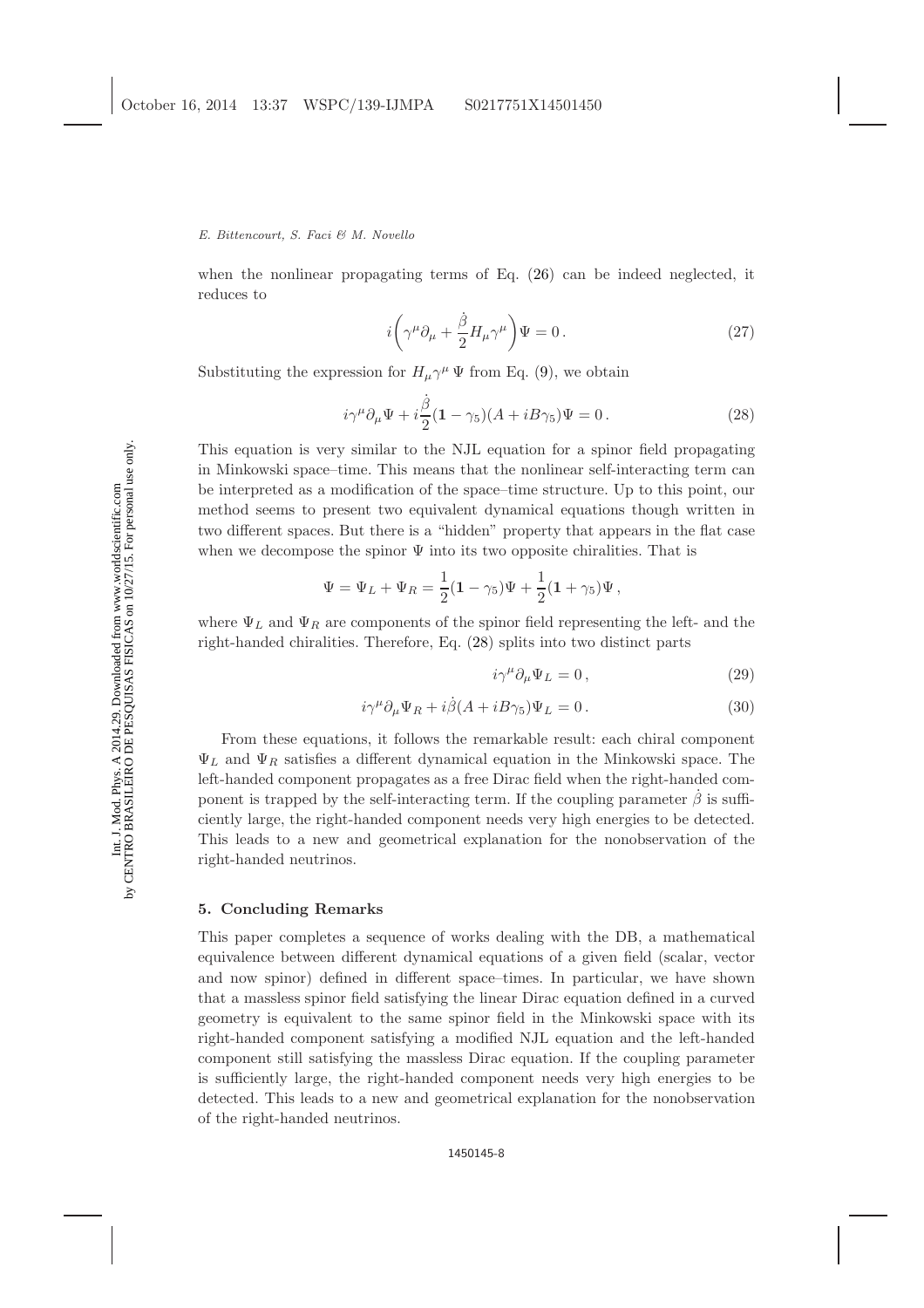## E. Bittencourt, S. Faci & M. Novello

<span id="page-7-2"></span>when the nonlinear propagating terms of Eq. [\(26\)](#page-6-2) can be indeed neglected, it reduces to

<span id="page-7-1"></span>
$$
i\left(\gamma^{\mu}\partial_{\mu} + \frac{\dot{\beta}}{2}H_{\mu}\gamma^{\mu}\right)\Psi = 0.
$$
 (27)

Substituting the expression for  $H_{\mu}\gamma^{\mu}\Psi$  from Eq. [\(9\)](#page-3-3), we obtain

$$
i\gamma^{\mu}\partial_{\mu}\Psi + i\frac{\dot{\beta}}{2}(1-\gamma_{5})(A+iB\gamma_{5})\Psi = 0.
$$
 (28)

This equation is very similar to the NJL equation for a spinor field propagating in Minkowski space–time. This means that the nonlinear self-interacting term can be interpreted as a modification of the space–time structure. Up to this point, our method seems to present two equivalent dynamical equations though written in two different spaces. But there is a "hidden" property that appears in the flat case when we decompose the spinor  $\Psi$  into its two opposite chiralities. That is

$$
\Psi = \Psi_L + \Psi_R = \frac{1}{2}(1 - \gamma_5)\Psi + \frac{1}{2}(1 + \gamma_5)\Psi,
$$

where  $\Psi_L$  and  $\Psi_R$  are components of the spinor field representing the left- and the right-handed chiralities. Therefore, Eq. [\(28\)](#page-7-1) splits into two distinct parts

$$
i\gamma^{\mu}\partial_{\mu}\Psi_{L}=0\,,\tag{29}
$$

$$
i\gamma^{\mu}\partial_{\mu}\Psi_{R} + i\dot{\beta}(A + iB\gamma_{5})\Psi_{L} = 0.
$$
\n(30)

From these equations, it follows the remarkable result: each chiral component  $\Psi_L$  and  $\Psi_R$  satisfies a different dynamical equation in the Minkowski space. The left-handed component propagates as a free Dirac field when the right-handed component is trapped by the self-interacting term. If the coupling parameter  $\dot{\beta}$  is sufficiently large, the right-handed component needs very high energies to be detected. This leads to a new and geometrical explanation for the nonobservation of the right-handed neutrinos.

# <span id="page-7-0"></span>5. Concluding Remarks

This paper completes a sequence of works dealing with the DB, a mathematical equivalence between different dynamical equations of a given field (scalar, vector and now spinor) defined in different space–times. In particular, we have shown that a massless spinor field satisfying the linear Dirac equation defined in a curved geometry is equivalent to the same spinor field in the Minkowski space with its right-handed component satisfying a modified NJL equation and the left-handed component still satisfying the massless Dirac equation. If the coupling parameter is sufficiently large, the right-handed component needs very high energies to be detected. This leads to a new and geometrical explanation for the nonobservation of the right-handed neutrinos.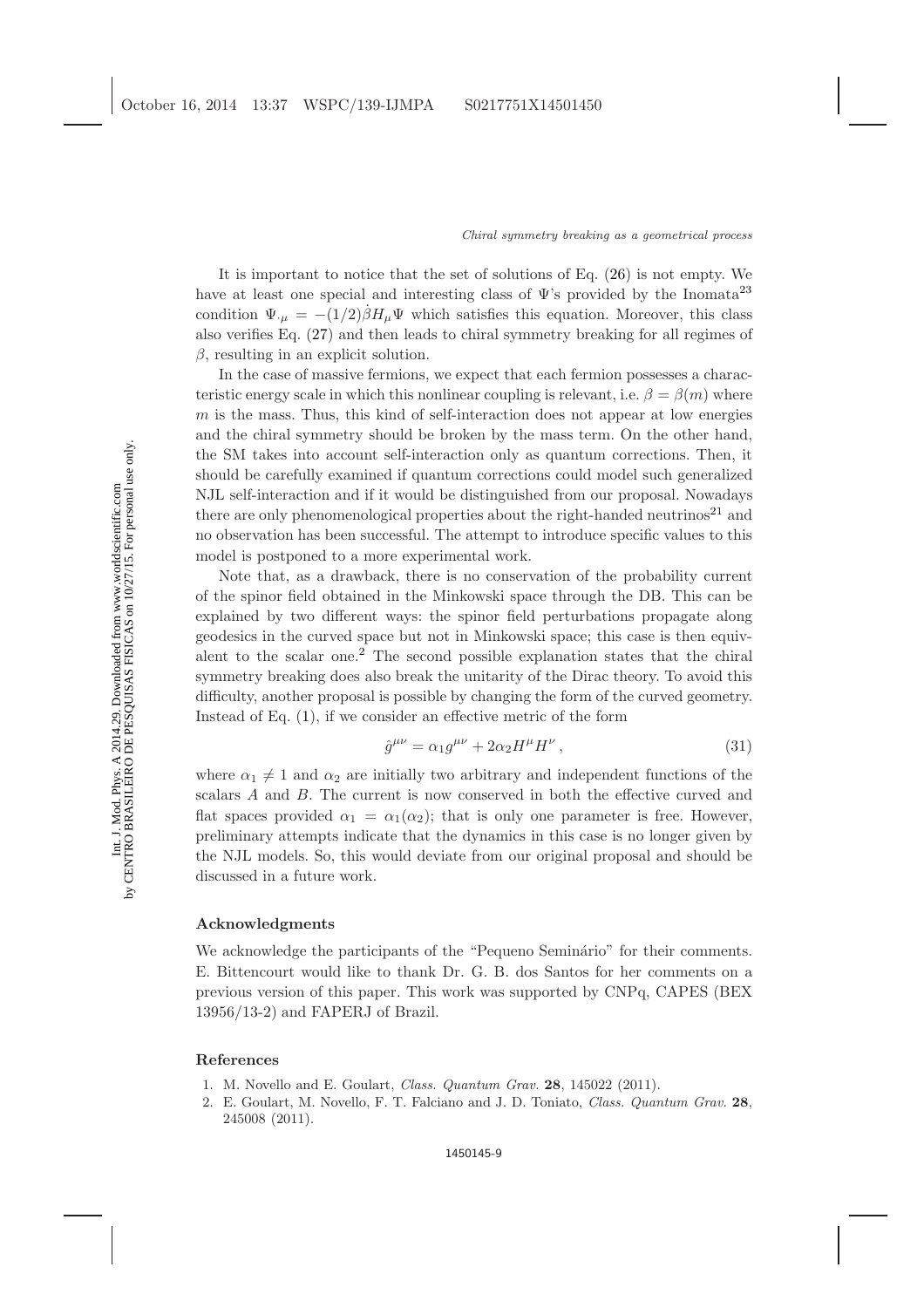It is important to notice that the set of solutions of Eq. [\(26\)](#page-6-2) is not empty. We have at least one special and interesting class of  $\Psi$ 's provided by the Inomata<sup>[23](#page-9-20)</sup> condition  $\Psi_{\mu} = -(1/2)\dot{\beta}H_{\mu}\Psi$  which satisfies this equation. Moreover, this class also verifies Eq. [\(27\)](#page-7-2) and then leads to chiral symmetry breaking for all regimes of  $β$ , resulting in an explicit solution.

In the case of massive fermions, we expect that each fermion possesses a characteristic energy scale in which this nonlinear coupling is relevant, i.e.  $\beta = \beta(m)$  where  $m$  is the mass. Thus, this kind of self-interaction does not appear at low energies and the chiral symmetry should be broken by the mass term. On the other hand, the SM takes into account self-interaction only as quantum corrections. Then, it should be carefully examined if quantum corrections could model such generalized NJL self-interaction and if it would be distinguished from our proposal. Nowadays there are only phenomenological properties about the right-handed neutrinos<sup>[21](#page-9-18)</sup> and no observation has been successful. The attempt to introduce specific values to this model is postponed to a more experimental work.

Note that, as a drawback, there is no conservation of the probability current of the spinor field obtained in the Minkowski space through the DB. This can be explained by two different ways: the spinor field perturbations propagate along geodesics in the curved space but not in Minkowski space; this case is then equivalent to the scalar one.[2](#page-8-2) The second possible explanation states that the chiral symmetry breaking does also break the unitarity of the Dirac theory. To avoid this difficulty, another proposal is possible by changing the form of the curved geometry. Instead of Eq. [\(1\)](#page-1-1), if we consider an effective metric of the form

$$
\hat{g}^{\mu\nu} = \alpha_1 g^{\mu\nu} + 2\alpha_2 H^{\mu} H^{\nu},\qquad(31)
$$

where  $\alpha_1 \neq 1$  and  $\alpha_2$  are initially two arbitrary and independent functions of the scalars A and B. The current is now conserved in both the effective curved and flat spaces provided  $\alpha_1 = \alpha_1(\alpha_2)$ ; that is only one parameter is free. However, preliminary attempts indicate that the dynamics in this case is no longer given by the NJL models. So, this would deviate from our original proposal and should be discussed in a future work.

## Acknowledgments

We acknowledge the participants of the "Pequeno Seminário" for their comments. E. Bittencourt would like to thank Dr. G. B. dos Santos for her comments on a previous version of this paper. This work was supported by CNPq, CAPES (BEX 13956/13-2) and FAPERJ of Brazil.

## <span id="page-8-1"></span><span id="page-8-0"></span>References

- <span id="page-8-2"></span>1. M. Novello and E. Goulart, Class. Quantum Grav. **28**, 145022 (2011).
- 2. E. Goulart, M. Novello, F. T. Falciano and J. D. Toniato, Class. Quantum Grav. 28, 245008 (2011).